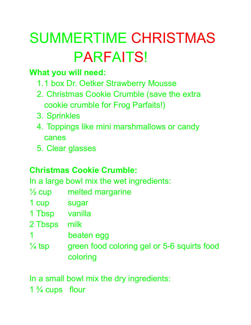# SUMMERTIME CHRISTMAS PARFAITS!

#### **What you will need:**

- 1.1 box Dr. Oetker Strawberry Mousse
- 2. Christmas Cookie Crumble (save the extra cookie crumble for Frog Parfaits!)
- 3. Sprinkles
- 4. Toppings like mini marshmallows or candy canes
- 5. Clear glasses

#### **Christmas Cookie Crumble:**

In a large bowl mix the wet ingredients:

- $\frac{1}{2}$  cup melted margarine
- 1 cup sugar
- 1 Tbsp vanilla
- 2 Tbsps milk
- 1 beaten egg
- $\frac{1}{4}$  tsp green food coloring gel or 5-6 squirts food coloring

In a small bowl mix the dry ingredients:

1  $\frac{3}{4}$  cups flour